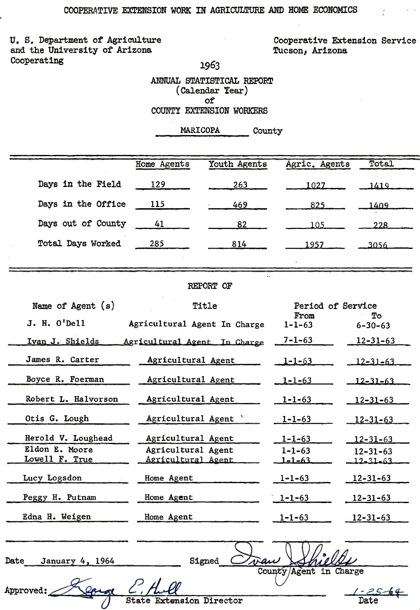U. S. Department of Agriculture and the University of Arizona Cooperating

Cooperative Extension Service Tucson, Arizona

1963

ANNUAL STATISTICAL REPORT (Calendar Year) of COUNTY EXTENSION WORKERS

## MARICOPA County

| Home Agents<br>129<br>115<br>41<br>285<br>REPORT OF<br>Title<br>Agricultural Agent In Charge<br>Agricultural Agent In Charge<br>Agricultural Agent | Youth Agents<br>263<br>469.<br>82<br>814 | Agric. Agents<br>1027<br>825<br>105<br>1957<br>From<br>$1 - 1 - 63$<br>$7 - 1 - 63$ | Period of Service<br>$6 - 30 - 63$ | Total<br>1419<br>1409<br>228<br>3056<br>Tо<br>$12 - 31 - 63$ |
|----------------------------------------------------------------------------------------------------------------------------------------------------|------------------------------------------|-------------------------------------------------------------------------------------|------------------------------------|--------------------------------------------------------------|
|                                                                                                                                                    |                                          |                                                                                     |                                    |                                                              |
|                                                                                                                                                    |                                          |                                                                                     |                                    |                                                              |
|                                                                                                                                                    |                                          |                                                                                     |                                    |                                                              |
|                                                                                                                                                    |                                          |                                                                                     |                                    |                                                              |
|                                                                                                                                                    |                                          |                                                                                     |                                    |                                                              |
|                                                                                                                                                    |                                          |                                                                                     |                                    |                                                              |
|                                                                                                                                                    |                                          |                                                                                     |                                    |                                                              |
|                                                                                                                                                    |                                          |                                                                                     |                                    |                                                              |
|                                                                                                                                                    |                                          |                                                                                     |                                    |                                                              |
|                                                                                                                                                    |                                          |                                                                                     |                                    |                                                              |
|                                                                                                                                                    |                                          |                                                                                     |                                    |                                                              |
|                                                                                                                                                    |                                          | $1 - 1 - 63$                                                                        |                                    | $12 - 31 - 63$                                               |
| Agricultural Agent                                                                                                                                 |                                          | $1 - 1 - 63$                                                                        | $12 - 31 - 63$                     |                                                              |
| Agricultural Agent                                                                                                                                 |                                          | $1 - 1 - 63$                                                                        | $12 - 31 - 63$                     |                                                              |
| Agricultural Agent                                                                                                                                 |                                          | $1 - 1 - 63$                                                                        | $12 - 31 - 63$                     |                                                              |
| Agricultural Agent                                                                                                                                 |                                          | $1 - 1 - 63$                                                                        | $12 - 31 - 63$                     |                                                              |
|                                                                                                                                                    |                                          | $1 - 1 - 63$                                                                        | $12 - 31 - 63$                     |                                                              |
|                                                                                                                                                    |                                          | $1 - 1 - 63$                                                                        | $12 - 31 - 63$                     |                                                              |
|                                                                                                                                                    |                                          | $1 - 1 - 63$                                                                        | $12 - 31 - 63$                     |                                                              |
|                                                                                                                                                    |                                          | $1 - 1 - 63$                                                                        | $12 - 31 - 63$                     |                                                              |
|                                                                                                                                                    |                                          | $1 - 1 - 63$                                                                        | $12 - 31 - 63$                     |                                                              |
|                                                                                                                                                    |                                          |                                                                                     |                                    |                                                              |
|                                                                                                                                                    |                                          |                                                                                     |                                    |                                                              |
|                                                                                                                                                    | Home Agent<br>Home Agent<br>Home Agent   | Agricultural Agent<br>Agricultural Agent                                            |                                    |                                                              |

Approved:

Leong

State **Extension Director**  County/Agent in Charge

Date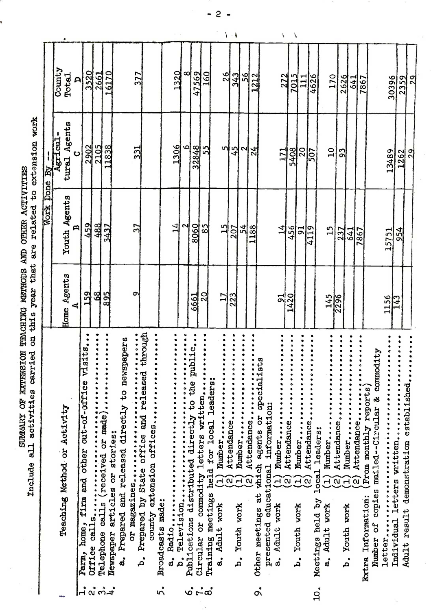SUMMARY OF EXTENSION TEACHING METHODS AND OTHER ACTIVITIES 100100 and activities carried on this year that are related to extension work

| County<br>6170<br>1320<br>3520<br>∞∣<br>47569<br>160<br>2661<br>377<br>26<br>343<br>56<br>1212<br>Total<br>272<br>7015<br>4626<br>170<br>2626<br>$\frac{1}{11}$<br>641<br>30396<br>7867<br>$\triangleright$<br>Agents<br>$\frac{3y}{\text{Agr1}\text{cm1}}$ .<br>2105<br>2902<br>1838<br>1306<br>32848<br>55<br>m<br>331<br>45<br>N<br>24<br>20<br>5408<br>$\overline{\mathbf{u}}$<br>507<br>93<br>171<br>13489<br>Ó<br>tural<br>Youth Agents<br>459<br>488<br>14<br>8060<br>85<br>37<br>$\mathbf{p}$<br>3437<br>51<br>끿<br>1188<br>207<br>겈<br>456<br>4119<br>$\overline{5}$<br>15<br>237<br>641<br>7867<br>15751<br>Home Agents<br>159<br>68<br>895<br>σ<br>20<br>$\overline{17}$<br>223<br>6661<br>1420<br>145<br>ದ<br>2296<br>1156<br>ò                                                                                                                                                                                                                                                                                                                                                                                                                                                                                                                                                                              |  |
|--------------------------------------------------------------------------------------------------------------------------------------------------------------------------------------------------------------------------------------------------------------------------------------------------------------------------------------------------------------------------------------------------------------------------------------------------------------------------------------------------------------------------------------------------------------------------------------------------------------------------------------------------------------------------------------------------------------------------------------------------------------------------------------------------------------------------------------------------------------------------------------------------------------------------------------------------------------------------------------------------------------------------------------------------------------------------------------------------------------------------------------------------------------------------------------------------------------------------------------------------------------------------------------------------------------------------|--|
| Work Done By                                                                                                                                                                                                                                                                                                                                                                                                                                                                                                                                                                                                                                                                                                                                                                                                                                                                                                                                                                                                                                                                                                                                                                                                                                                                                                             |  |
|                                                                                                                                                                                                                                                                                                                                                                                                                                                                                                                                                                                                                                                                                                                                                                                                                                                                                                                                                                                                                                                                                                                                                                                                                                                                                                                          |  |
|                                                                                                                                                                                                                                                                                                                                                                                                                                                                                                                                                                                                                                                                                                                                                                                                                                                                                                                                                                                                                                                                                                                                                                                                                                                                                                                          |  |
|                                                                                                                                                                                                                                                                                                                                                                                                                                                                                                                                                                                                                                                                                                                                                                                                                                                                                                                                                                                                                                                                                                                                                                                                                                                                                                                          |  |
| repared by State office and released through<br>county extension offices<br>Publications distributed directly to the public<br>Prepared and released directly to newspapers<br><br>visits.<br>commodity<br>,,,,,,,<br>Other meetings at which agents or specialists<br><br><br>Training meetings held for local leaders:<br>firm and other out-of-office<br>Attendance<br>Number<br>Attendance<br>Circular or commodity letters written<br>Radio<br>Trom monthly report)<br>Number<br>Number of copies mailed -- Circular &<br>Attendance<br>Number<br>Number,<br>Attendance<br>presented educational information:<br>Teaching Method or Activity<br>Attendance<br>Number<br>Individual letters written<br>Number<br>Attendance.<br>Meetings held by local leaders:<br>Newspaper articles or stories:<br>$\begin{bmatrix} 1 \end{bmatrix}$<br>$\widetilde{E}$<br><u>යින</u><br>ତ୍ର<br>$\widehat{\Omega}$<br>$\widehat{\mathbf{c}}$<br>$\Xi$<br>Ξ<br>$\alpha$<br>$\mathbf{H}$<br>Extra Information:<br>Broadcasts made:<br>a. Adult work<br>a. Adult work<br>Adult work<br>b. Youth work<br>b. Youth work<br>Youth work<br>Farm, home,<br>a.<br>d.<br>$\mathbf{a}$<br>.<br>`م<br>$\mathbf{a}$<br>a.<br>$\mathfrak{a}^{\bullet}$<br>$\vec{m}_{\perp}$<br>$\dot{\circ} \dot{\sim} \dot{\circ}$<br>$\overline{C}$<br>╠<br>નં |  |

 $\mathbf{r}$ 

 $-2-$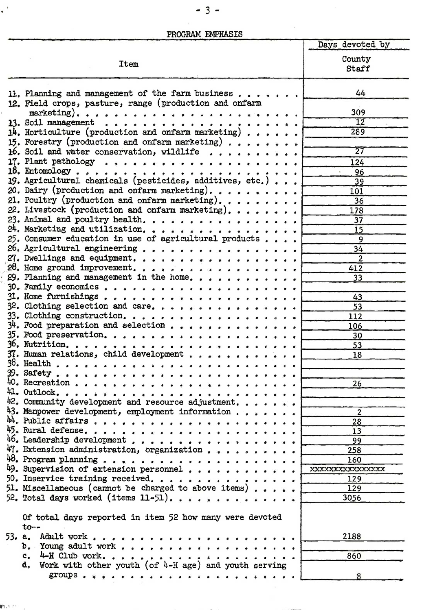PROGRAM EMPHASIS

|                                                                         | Days devoted by   |
|-------------------------------------------------------------------------|-------------------|
|                                                                         | County            |
| <b>Item</b>                                                             | Staff             |
|                                                                         |                   |
|                                                                         |                   |
| 11. Planning and management of the farm business $\dots$ ,              | 44                |
| 12. Field crops, pasture, range (production and onfarm                  |                   |
|                                                                         | 309               |
|                                                                         | $\overline{12}$   |
| $14.$ Horticulture (production and onfarm marketing)                    | 289               |
| 15. Forestry (production and onfarm marketing)                          |                   |
| 16. Soil and water conservation, wildlife                               | 27                |
|                                                                         | 124               |
| 18. Entomology                                                          | 96                |
| 19. Agricultural chemicals (pesticides, additives, etc.)                | 39                |
| 20. Dairy (production and onfarm marketing).                            | 101               |
| 21. Poultry (production and onfarm marketing).                          | 36                |
| 22. Livestock (production and onfarm marketing).                        | 178               |
| 23. Animal and poultry health.                                          | $\overline{37}$   |
| $24.$ Marketing and utilization.                                        | 15                |
| 25. Consumer education in use of agricultural products                  | 9                 |
| $26.$ Agricultural engineering                                          | 34                |
| 27. Dwellings and equipment.                                            | $\overline{2}$    |
| 28. Home ground improvement.                                            | 412               |
| 29. Planning and management in the home.                                | 33                |
| $30.$ Family economics                                                  |                   |
| 31. Home furnishings                                                    | 43                |
| $32.$ Clothing selection and care.                                      | 53                |
| 33. Clothing construction.                                              | 112               |
| $34.$ Food preparation and selection<br>$35.$ Food preservation.        | 106               |
|                                                                         | 30                |
| $37.$ Human relations, child development                                | 53<br>18          |
|                                                                         |                   |
| 39. Safety                                                              |                   |
| 40. Recreation                                                          | 26                |
|                                                                         |                   |
| 42. Community development and resource adjustment.                      |                   |
| 43. Manpower development, employment information                        | $\overline{2}$    |
| $44.$ Public affairs                                                    | 28                |
| 45. Rural defense.                                                      | 13                |
| 46. Leadership development                                              | 99                |
| 47. Extension administration, organization                              | 258               |
| $\bullet$                                                               | 160               |
| 49. Supervision of extension personnel<br>$\bullet$ $\bullet$ $\bullet$ | XXXXXXXXXXXXXXXXX |
| 50. Inservice training received.                                        | 129               |
| 51. Miscellaneous (cannot be charged to above items)                    | 129               |
| 52. Total days worked (items 11-51).                                    | 3056              |
|                                                                         |                   |
| Of total days reported in item 52 how many were devoted                 |                   |
| $to --$                                                                 |                   |
| 53. a. Adult work                                                       | 2188              |
| $b.$ Young adult work                                                   |                   |
| c. $4-H$ Club work<br>$\bullet$ $\bullet$                               | 860               |
| Work with other youth (of 4-H age) and youth serving<br>d.              |                   |
|                                                                         |                   |
|                                                                         |                   |

 $\ddot{\phantom{1}}$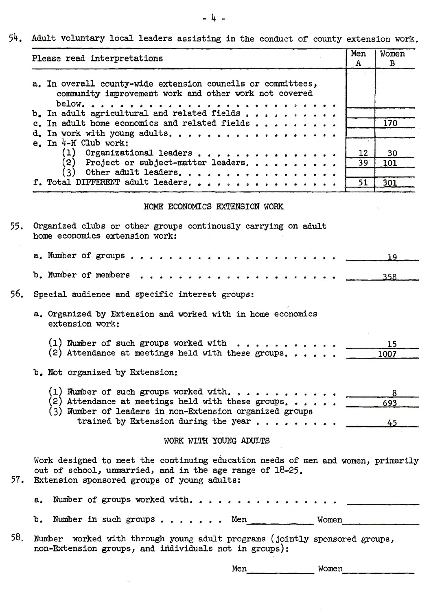54. Adult voluntary local leaders assisting in the conduct of county extension work.

| Please read interpretations                                                                                                                                                                                                  | Men<br>A | Women<br>B                  |
|------------------------------------------------------------------------------------------------------------------------------------------------------------------------------------------------------------------------------|----------|-----------------------------|
| a. In overall county-wide extension councils or committees,<br>community improvement work and other work not covered                                                                                                         |          |                             |
| below.<br>.<br>b. In adult agricultural and related fields<br>c. In adult home economics and related fields<br>d. In work with young adults.                                                                                 |          | 170                         |
| e. In $4-H$ Club work:<br>(1) Organizational leaders<br>(2) Project or subject-matter leaders.<br>(3) Other adult leaders.                                                                                                   | 12<br>39 | 30<br>101                   |
| f. Total DIFFERENT adult leaders, , , , , , , .                                                                                                                                                                              | 51       | 301                         |
| HOME ECONOMICS EXTENSION WORK                                                                                                                                                                                                |          |                             |
| Organized clubs or other groups continously carrying on adult<br>home economics extension work:                                                                                                                              |          |                             |
| a. Number of groups                                                                                                                                                                                                          |          | 19                          |
| b. Number of members                                                                                                                                                                                                         |          | 358                         |
| Special audience and specific interest groups:                                                                                                                                                                               |          |                             |
| a. Organized by Extension and worked with in home economics<br>extension work:                                                                                                                                               |          |                             |
| (1) Number of such groups worked with<br>(2) Attendance at meetings held with these groups.                                                                                                                                  |          | 15<br>1007                  |
| b. Not organized by Extension:                                                                                                                                                                                               |          |                             |
| (1) Number of such groups worked with. $\blacksquare$<br>2) Attendance at meetings held with these groups. $\blacksquare$<br>(3) Number of leaders in non-Extension organized groups<br>trained by Extension during the year |          | 8<br>693<br>45              |
| WORK WITH YOUNG ADULTS                                                                                                                                                                                                       |          |                             |
| Work designed to meet the continuing education needs of men and women, primarily<br>out of school, unmarried, and in the age range of 18-25.<br>Extension sponsored groups of young adults:                                  |          |                             |
| Number of groups worked with<br>a.                                                                                                                                                                                           |          |                             |
| b. Number in such groups<br>Women<br><b>.</b> Men                                                                                                                                                                            |          | <b><i>Communication</i></b> |
| Number worked with through young adult programs (jointly sponsored groups,<br>non-Extension groups, and individuals not in groups):                                                                                          |          |                             |
| Men<br>Women                                                                                                                                                                                                                 |          |                             |

 $\ddot{\phantom{a}}$ 

 $- 4 -$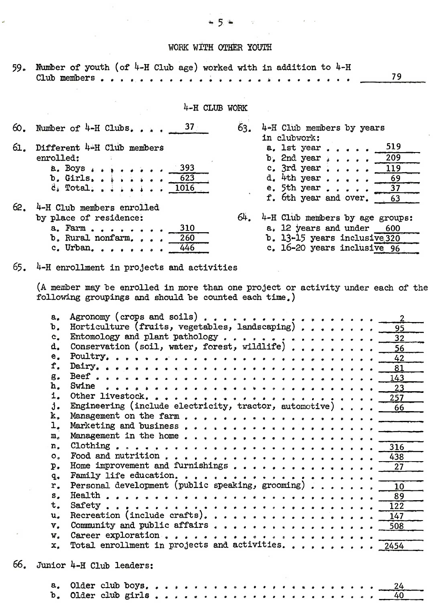## WORK WITH OTHER YOUTH

|  |  | 59. Number of youth (of 4-H Club age) worked with in addition to 4-H |  |  |
|--|--|----------------------------------------------------------------------|--|--|
|  |  |                                                                      |  |  |

4-H CLUB WORK

|     | 60. Number of 4-H Clubs. $37$                                                              | 63. | 4-H Club members by years<br>in clubwork:                                                                                          |
|-----|--------------------------------------------------------------------------------------------|-----|------------------------------------------------------------------------------------------------------------------------------------|
| 61. | Different 44H Club members<br>enrolled:                                                    |     | 519<br>a. 1st year<br><b>b.</b> 2nd year $\cdot \cdot \cdot = 209$                                                                 |
|     | $a. Boys \rightarrow \cdots$<br>- 393<br>b. Girls. 623                                     |     | c. 3rd year $119$<br>d. $4th$ year<br>-69                                                                                          |
| 62. | 4-H Club members enrolled                                                                  |     | e. 5th year $\ldots$ .<br>f. 6th year and over. 63                                                                                 |
|     | by place of residence:<br>a. Farm<br>310<br>$b$ . Rural nonfarm<br>260<br>c. Urban.<br>446 | 64. | 4-H Club members by age groups:<br>$a_*$ 12 years and under 600<br>b. 13-15 years inclusive 320<br>c. $16-20$ years inclusive $96$ |

 $65.$  4-H enrollment in projects and activities

(A member may be enrolled in more than one project or activity under each of the following groupings and should be counted each time.)

|     | $a_{\bullet}$         | $\overline{2}$                                                      |
|-----|-----------------------|---------------------------------------------------------------------|
|     | ъ.                    | Horticulture (fruits, vegetables, landscaping)<br>95                |
|     | $\mathbf{c}$ .        | Entomology and plant pathology<br>32                                |
|     | d.                    | Conservation (soil, water, forest, wildlife)<br>56                  |
|     | e.                    | 42                                                                  |
|     | f.                    | 81                                                                  |
|     | $g_{\bullet}$         | 143                                                                 |
|     | h.                    | Swine<br>23                                                         |
|     | 1.                    | 257                                                                 |
|     | j.                    | Engineering (include electricity, tractor, automotive) 66           |
|     | k.                    |                                                                     |
|     | ı.                    |                                                                     |
|     | m <sub>a</sub>        |                                                                     |
|     | n <sub>1</sub>        | 316                                                                 |
|     | $\mathbf{O}_{\alpha}$ | 438                                                                 |
|     | $p_{\bullet}$         | Home improvement and furnishings<br>27                              |
|     | $q_{\bullet}$         |                                                                     |
|     | r.                    | Personal development (public speaking, grooming)<br>10 <sup>1</sup> |
|     | $s_{\star}$           | 89                                                                  |
|     | t.                    | 122                                                                 |
|     | u.                    | Recreation (include crafts).<br>147                                 |
|     | $V_{\bullet}$         | 508                                                                 |
|     | $W_{a}$               | Career exploration                                                  |
|     | x.                    | Total enrollment in projects and activities.<br>2454                |
| 66. |                       | Junior 4-H Club leaders:                                            |
|     | $a_{-}$               | 24                                                                  |
|     | b.                    | Older club girls<br>40                                              |

 $\epsilon$